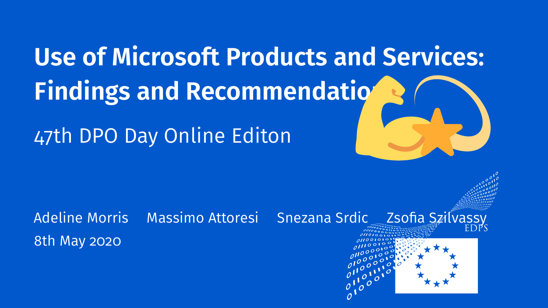**Use of Microsoft Products and Services: Findings and Recommendation** 47th DPO Day Online Editon

Adeline Morris Massimo Attoresi Snezana Srdic Zsofia Szilvassy 8th May 2020



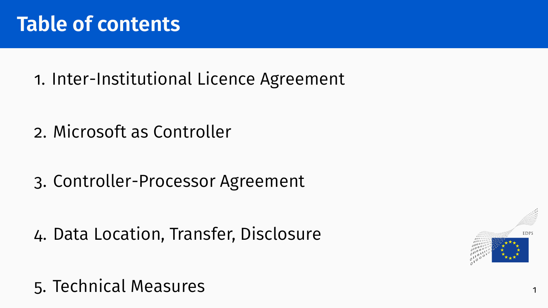1. [Inter-Institutional Licence Agreement](#page-2-0)

- 2. [Microsoft as Controller](#page-5-0)
- 3. [Controller-Processor Agreement](#page-12-0)

4. [Data Location, Transfer, Disclosure](#page-16-0)



#### 5. [Technical Measures](#page-21-0)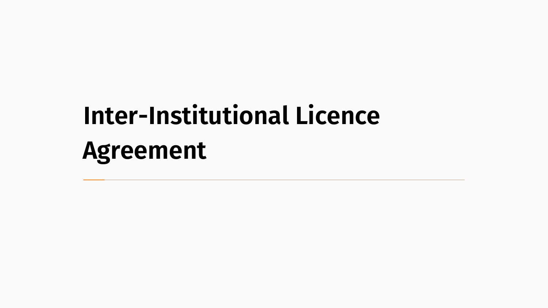# <span id="page-2-0"></span>**[Inter-Institutional Licence](#page-2-0) [Agreement](#page-2-0)**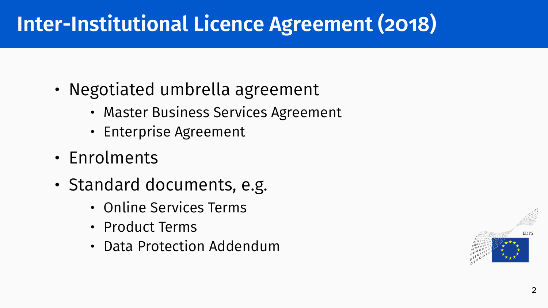### **Inter-Institutional Licence Agreement (2018)**

- Negotiated umbrella agreement
	- Master Business Services Agreement
	- Enterprise Agreement
- Enrolments
- Standard documents, e.g.
	- Online Services Terms
	- Product Terms
	- Data Protection Addendum

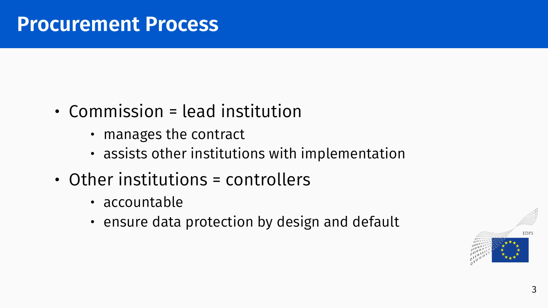- Commission = lead institution
	- manages the contract
	- assists other institutions with implementation
- Other institutions = controllers
	- accountable
	- ensure data protection by design and default

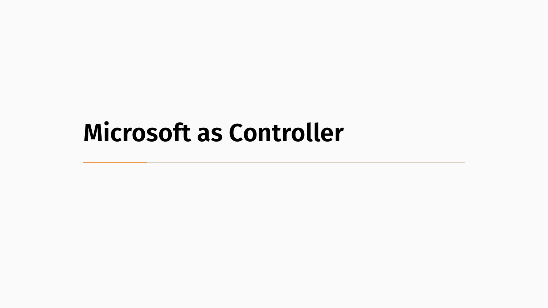# <span id="page-5-0"></span>**[Microsoft as Controller](#page-5-0)**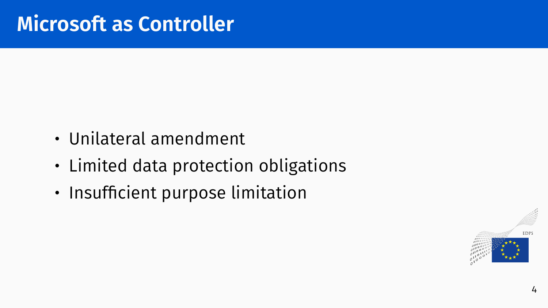- Unilateral amendment
- Limited data protection obligations
- Insufficient purpose limitation

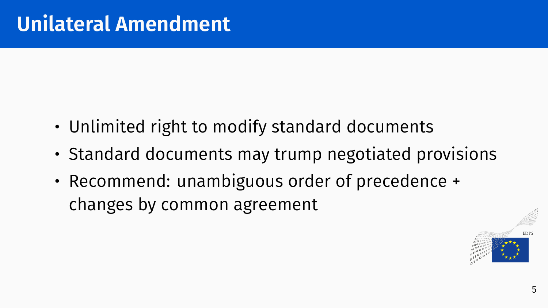- Unlimited right to modify standard documents
- Standard documents may trump negotiated provisions
- Recommend: unambiguous order of precedence + changes by common agreement

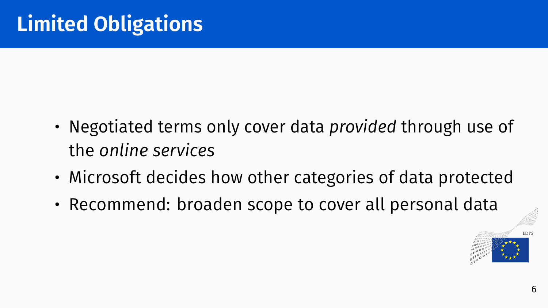- Negotiated terms only cover data *provided* through use of the *online services*
- Microsoft decides how other categories of data protected
- Recommend: broaden scope to cover all personal data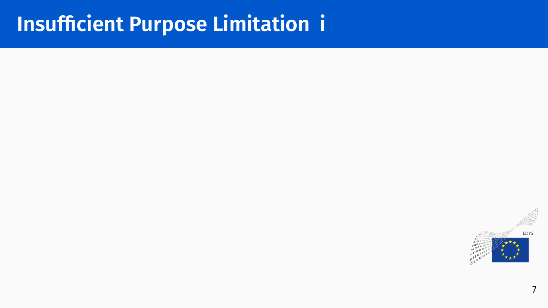### **Insufficient Purpose Limitation i**

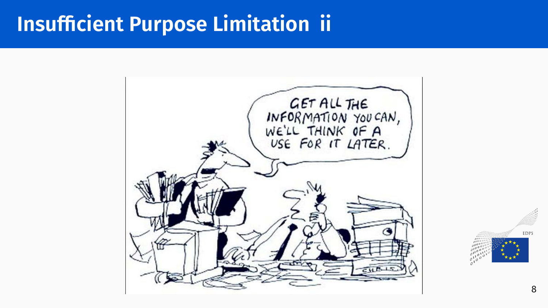### **Insufficient Purpose Limitation ii**



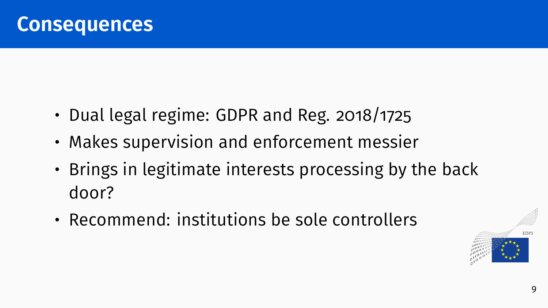- Dual legal regime: GDPR and Reg. 2018/1725
- Makes supervision and enforcement messier
- Brings in legitimate interests processing by the back door?
- Recommend: institutions be sole controllers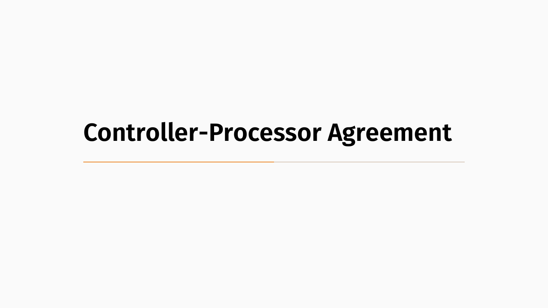### <span id="page-12-0"></span>**[Controller-Processor Agreement](#page-12-0)**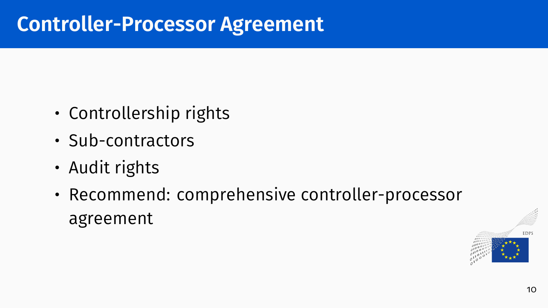#### **Controller-Processor Agreement**

- Controllership rights
- Sub-contractors
- Audit rights
- Recommend: comprehensive controller-processor agreement

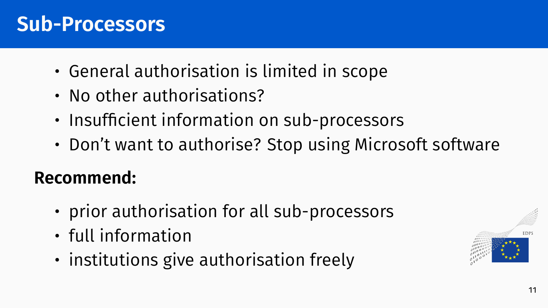#### **Sub-Processors**

- General authorisation is limited in scope
- No other authorisations?
- Insufficient information on sub-processors
- Don't want to authorise? Stop using Microsoft software

#### **Recommend:**

- prior authorisation for all sub-processors
- full information
- institutions give authorisation freely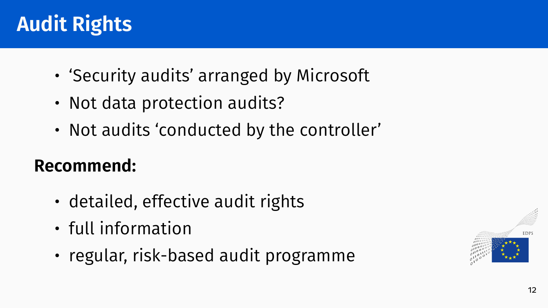### **Audit Rights**

- 'Security audits' arranged by Microsoft
- Not data protection audits?
- Not audits 'conducted by the controller'

#### **Recommend:**

- detailed, effective audit rights
- full information
- regular, risk-based audit programme

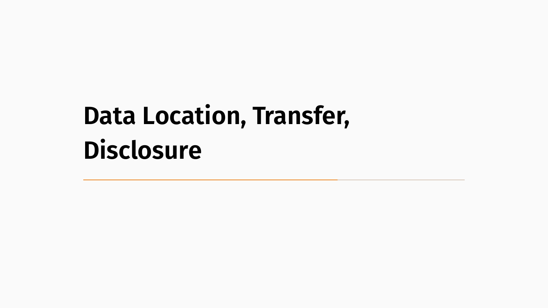# <span id="page-16-0"></span>**[Data Location, Transfer,](#page-16-0) [Disclosure](#page-16-0)**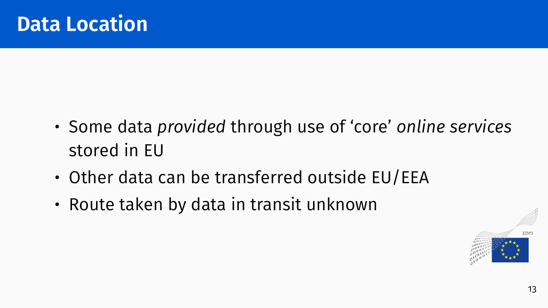- Some data *provided* through use of 'core' *online services* stored in EU
- Other data can be transferred outside EU/EEA
- Route taken by data in transit unknown

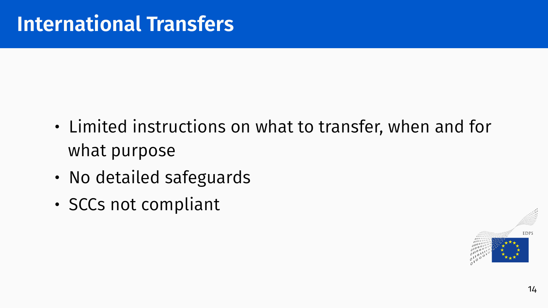- Limited instructions on what to transfer, when and for what purpose
- No detailed safeguards
- SCCs not compliant

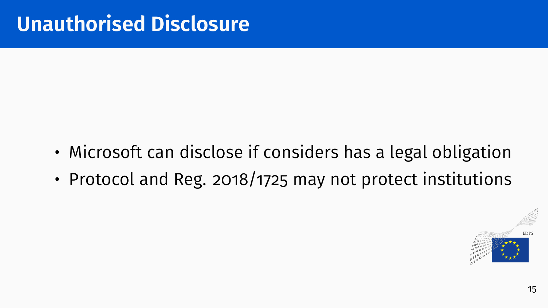- Microsoft can disclose if considers has a legal obligation
- Protocol and Reg. 2018/1725 may not protect institutions

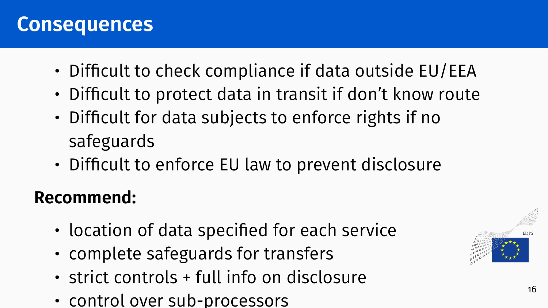#### **Consequences**

- Difficult to check compliance if data outside EU/EEA
- Difficult to protect data in transit if don't know route
- Difficult for data subjects to enforce rights if no safeguards
- Difficult to enforce EU law to prevent disclosure

#### **Recommend:**

- location of data specified for each service
- complete safeguards for transfers
- strict controls + full info on disclosure
- control over sub-processors

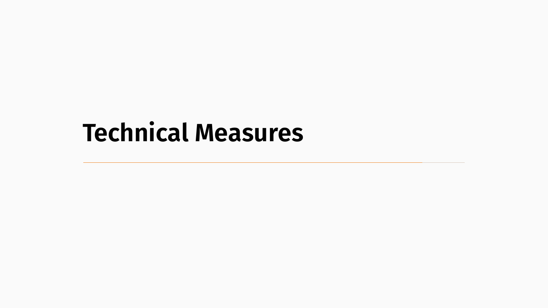# <span id="page-21-0"></span>**[Technical Measures](#page-21-0)**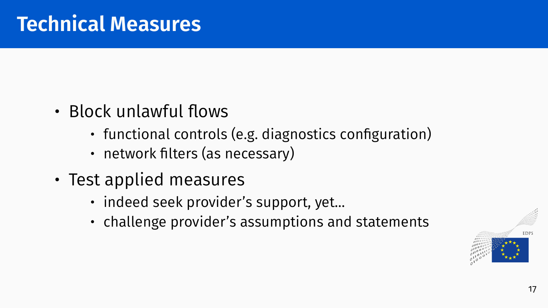- Block unlawful flows
	- functional controls (e.g. diagnostics configuration)
	- network filters (as necessary)
- Test applied measures
	- indeed seek provider's support, yet...
	- challenge provider's assumptions and statements

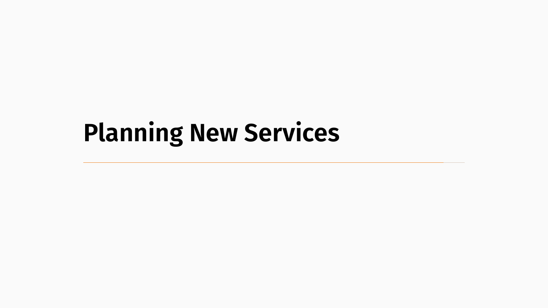# <span id="page-23-0"></span>**[Planning New Services](#page-23-0)**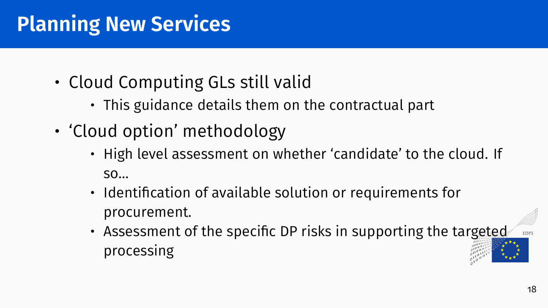### **Planning New Services**

- Cloud Computing GLs still valid
	- This guidance details them on the contractual part
- 'Cloud option' methodology
	- High level assessment on whether 'candidate' to the cloud. If so…
	- Identification of available solution or requirements for procurement.
	- Assessment of the specific DP risks in supporting the targeted processing